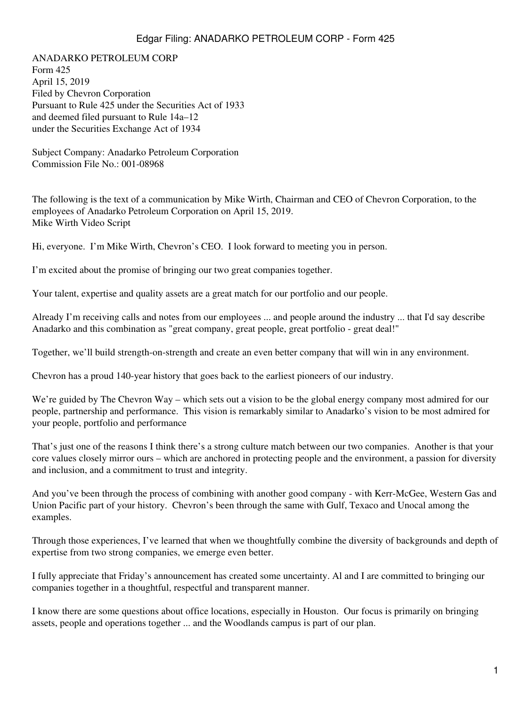ANADARKO PETROLEUM CORP Form 425 April 15, 2019 Filed by Chevron Corporation Pursuant to Rule 425 under the Securities Act of 1933 and deemed filed pursuant to Rule 14a–12 under the Securities Exchange Act of 1934

Subject Company: Anadarko Petroleum Corporation Commission File No $\cdot$  001-08968

The following is the text of a communication by Mike Wirth, Chairman and CEO of Chevron Corporation, to the employees of Anadarko Petroleum Corporation on April 15, 2019. Mike Wirth Video Script

Hi, everyone. I'm Mike Wirth, Chevron's CEO. I look forward to meeting you in person.

I'm excited about the promise of bringing our two great companies together.

Your talent, expertise and quality assets are a great match for our portfolio and our people.

Already I'm receiving calls and notes from our employees ... and people around the industry ... that I'd say describe Anadarko and this combination as "great company, great people, great portfolio - great deal!"

Together, we'll build strength-on-strength and create an even better company that will win in any environment.

Chevron has a proud 140-year history that goes back to the earliest pioneers of our industry.

We're guided by The Chevron Way – which sets out a vision to be the global energy company most admired for our people, partnership and performance. This vision is remarkably similar to Anadarko's vision to be most admired for your people, portfolio and performance

That's just one of the reasons I think there's a strong culture match between our two companies. Another is that your core values closely mirror ours – which are anchored in protecting people and the environment, a passion for diversity and inclusion, and a commitment to trust and integrity.

And you've been through the process of combining with another good company - with Kerr-McGee, Western Gas and Union Pacific part of your history. Chevron's been through the same with Gulf, Texaco and Unocal among the examples.

Through those experiences, I've learned that when we thoughtfully combine the diversity of backgrounds and depth of expertise from two strong companies, we emerge even better.

I fully appreciate that Friday's announcement has created some uncertainty. Al and I are committed to bringing our companies together in a thoughtful, respectful and transparent manner.

I know there are some questions about office locations, especially in Houston. Our focus is primarily on bringing assets, people and operations together ... and the Woodlands campus is part of our plan.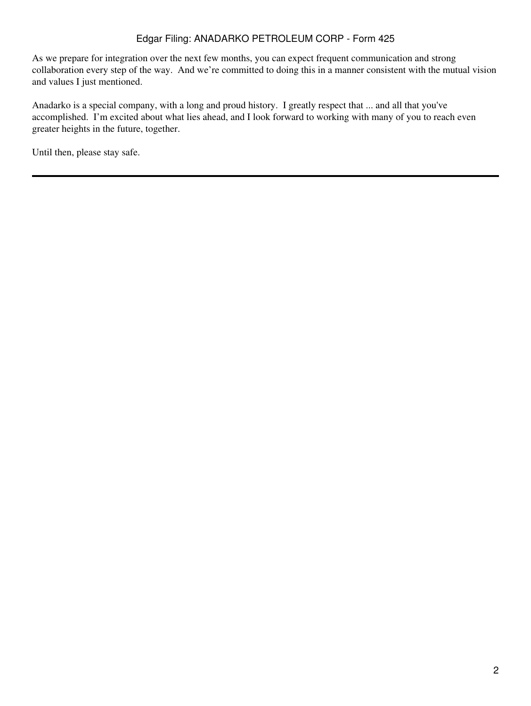As we prepare for integration over the next few months, you can expect frequent communication and strong collaboration every step of the way. And we're committed to doing this in a manner consistent with the mutual vision and values I just mentioned.

Anadarko is a special company, with a long and proud history. I greatly respect that ... and all that you've accomplished. I'm excited about what lies ahead, and I look forward to working with many of you to reach even greater heights in the future, together.

Until then, please stay safe.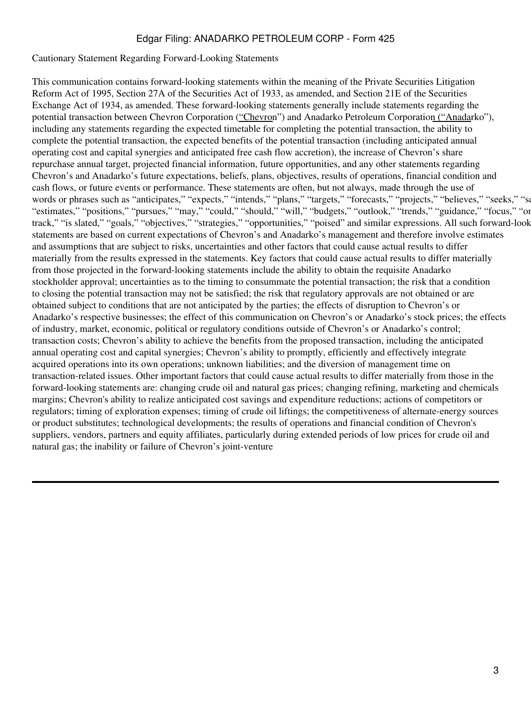#### Cautionary Statement Regarding Forward-Looking Statements

This communication contains forward-looking statements within the meaning of the Private Securities Litigation Reform Act of 1995, Section 27A of the Securities Act of 1933, as amended, and Section 21E of the Securities Exchange Act of 1934, as amended. These forward-looking statements generally include statements regarding the potential transaction between Chevron Corporation ("Chevron") and Anadarko Petroleum Corporation ("Anadarko"), including any statements regarding the expected timetable for completing the potential transaction, the ability to complete the potential transaction, the expected benefits of the potential transaction (including anticipated annual operating cost and capital synergies and anticipated free cash flow accretion), the increase of Chevron's share repurchase annual target, projected financial information, future opportunities, and any other statements regarding Chevron's and Anadarko's future expectations, beliefs, plans, objectives, results of operations, financial condition and cash flows, or future events or performance. These statements are often, but not always, made through the use of words or phrases such as "anticipates," "expects," "intends," "plans," "targets," "forecasts," "projects," "believes," "seeks," "se "estimates," "positions," "pursues," "may," "could," "should," "will," "budgets," "outlook," "trends," "guidance," "focus," "on track," "is slated," "goals," "objectives," "strategies," "opportunities," "poised" and similar expressions. All such forward-look statements are based on current expectations of Chevron's and Anadarko's management and therefore involve estimates and assumptions that are subject to risks, uncertainties and other factors that could cause actual results to differ materially from the results expressed in the statements. Key factors that could cause actual results to differ materially from those projected in the forward-looking statements include the ability to obtain the requisite Anadarko stockholder approval; uncertainties as to the timing to consummate the potential transaction; the risk that a condition to closing the potential transaction may not be satisfied; the risk that regulatory approvals are not obtained or are obtained subject to conditions that are not anticipated by the parties; the effects of disruption to Chevron's or Anadarko's respective businesses; the effect of this communication on Chevron's or Anadarko's stock prices; the effects of industry, market, economic, political or regulatory conditions outside of Chevron's or Anadarko's control; transaction costs; Chevron's ability to achieve the benefits from the proposed transaction, including the anticipated annual operating cost and capital synergies; Chevron's ability to promptly, efficiently and effectively integrate acquired operations into its own operations; unknown liabilities; and the diversion of management time on transaction-related issues. Other important factors that could cause actual results to differ materially from those in the forward-looking statements are: changing crude oil and natural gas prices; changing refining, marketing and chemicals margins; Chevron's ability to realize anticipated cost savings and expenditure reductions; actions of competitors or regulators; timing of exploration expenses; timing of crude oil liftings; the competitiveness of alternate-energy sources or product substitutes; technological developments; the results of operations and financial condition of Chevron's suppliers, vendors, partners and equity affiliates, particularly during extended periods of low prices for crude oil and natural gas; the inability or failure of Chevron's joint-venture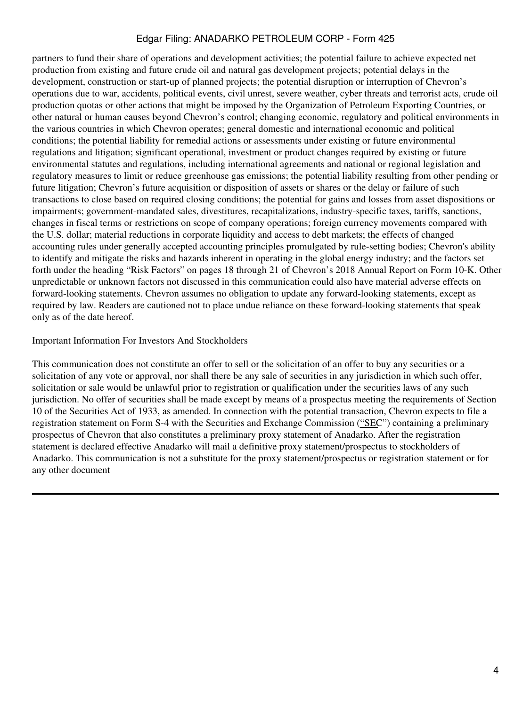partners to fund their share of operations and development activities; the potential failure to achieve expected net production from existing and future crude oil and natural gas development projects; potential delays in the development, construction or start-up of planned projects; the potential disruption or interruption of Chevron's operations due to war, accidents, political events, civil unrest, severe weather, cyber threats and terrorist acts, crude oil production quotas or other actions that might be imposed by the Organization of Petroleum Exporting Countries, or other natural or human causes beyond Chevron's control; changing economic, regulatory and political environments in the various countries in which Chevron operates; general domestic and international economic and political conditions; the potential liability for remedial actions or assessments under existing or future environmental regulations and litigation; significant operational, investment or product changes required by existing or future environmental statutes and regulations, including international agreements and national or regional legislation and regulatory measures to limit or reduce greenhouse gas emissions; the potential liability resulting from other pending or future litigation; Chevron's future acquisition or disposition of assets or shares or the delay or failure of such transactions to close based on required closing conditions; the potential for gains and losses from asset dispositions or impairments; government-mandated sales, divestitures, recapitalizations, industry-specific taxes, tariffs, sanctions, changes in fiscal terms or restrictions on scope of company operations; foreign currency movements compared with the U.S. dollar; material reductions in corporate liquidity and access to debt markets; the effects of changed accounting rules under generally accepted accounting principles promulgated by rule-setting bodies; Chevron's ability to identify and mitigate the risks and hazards inherent in operating in the global energy industry; and the factors set forth under the heading "Risk Factors" on pages 18 through 21 of Chevron's 2018 Annual Report on Form 10-K. Other unpredictable or unknown factors not discussed in this communication could also have material adverse effects on forward-looking statements. Chevron assumes no obligation to update any forward-looking statements, except as required by law. Readers are cautioned not to place undue reliance on these forward-looking statements that speak only as of the date hereof.

### Important Information For Investors And Stockholders

This communication does not constitute an offer to sell or the solicitation of an offer to buy any securities or a solicitation of any vote or approval, nor shall there be any sale of securities in any jurisdiction in which such offer, solicitation or sale would be unlawful prior to registration or qualification under the securities laws of any such jurisdiction. No offer of securities shall be made except by means of a prospectus meeting the requirements of Section 10 of the Securities Act of 1933, as amended. In connection with the potential transaction, Chevron expects to file a registration statement on Form S-4 with the Securities and Exchange Commission ("SEC") containing a preliminary prospectus of Chevron that also constitutes a preliminary proxy statement of Anadarko. After the registration statement is declared effective Anadarko will mail a definitive proxy statement/prospectus to stockholders of Anadarko. This communication is not a substitute for the proxy statement/prospectus or registration statement or for any other document